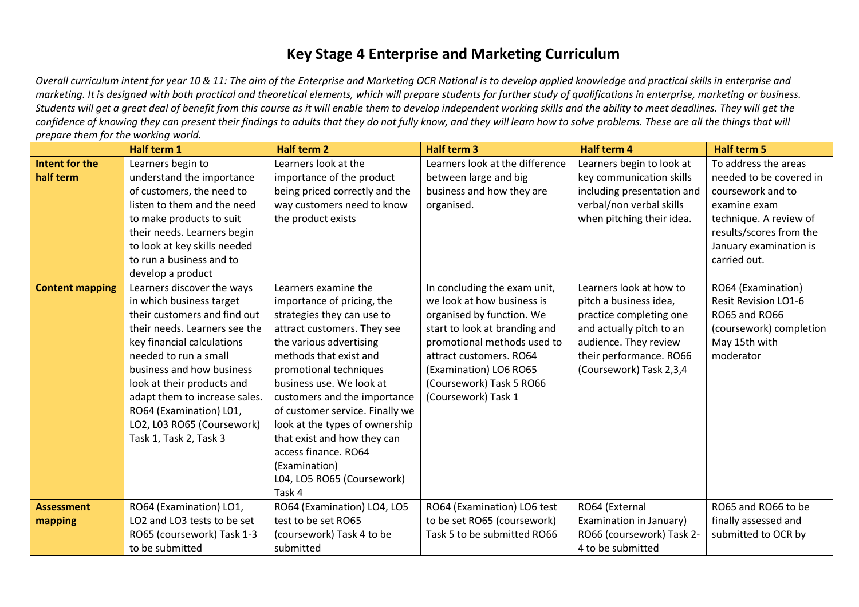## **Key Stage 4 Enterprise and Marketing Curriculum**

*Overall curriculum intent for year 10 & 11: The aim of the Enterprise and Marketing OCR National is to develop applied knowledge and practical skills in enterprise and marketing. It is designed with both practical and theoretical elements, which will prepare students for further study of qualifications in enterprise, marketing or business. Students will get a great deal of benefit from this course as it will enable them to develop independent working skills and the ability to meet deadlines. They will get the confidence of knowing they can present their findings to adults that they do not fully know, and they will learn how to solve problems. These are all the things that will prepare them for the working world.*

| Learners look at the difference<br>Intent for the<br>Learners begin to<br>Learners begin to look at<br>To address the areas<br>Learners look at the<br>half term<br>understand the importance<br>importance of the product<br>between large and big<br>needed to be covered in<br>key communication skills<br>of customers, the need to<br>being priced correctly and the<br>business and how they are<br>including presentation and<br>coursework and to<br>listen to them and the need<br>verbal/non verbal skills<br>way customers need to know<br>organised.<br>examine exam |  |
|----------------------------------------------------------------------------------------------------------------------------------------------------------------------------------------------------------------------------------------------------------------------------------------------------------------------------------------------------------------------------------------------------------------------------------------------------------------------------------------------------------------------------------------------------------------------------------|--|
|                                                                                                                                                                                                                                                                                                                                                                                                                                                                                                                                                                                  |  |
|                                                                                                                                                                                                                                                                                                                                                                                                                                                                                                                                                                                  |  |
|                                                                                                                                                                                                                                                                                                                                                                                                                                                                                                                                                                                  |  |
|                                                                                                                                                                                                                                                                                                                                                                                                                                                                                                                                                                                  |  |
| to make products to suit<br>the product exists<br>when pitching their idea.<br>technique. A review of                                                                                                                                                                                                                                                                                                                                                                                                                                                                            |  |
| their needs. Learners begin<br>results/scores from the                                                                                                                                                                                                                                                                                                                                                                                                                                                                                                                           |  |
| to look at key skills needed<br>January examination is                                                                                                                                                                                                                                                                                                                                                                                                                                                                                                                           |  |
| to run a business and to<br>carried out.                                                                                                                                                                                                                                                                                                                                                                                                                                                                                                                                         |  |
| develop a product                                                                                                                                                                                                                                                                                                                                                                                                                                                                                                                                                                |  |
| Learners discover the ways<br>In concluding the exam unit,<br>Learners examine the<br>Learners look at how to<br>RO64 (Examination)<br><b>Content mapping</b>                                                                                                                                                                                                                                                                                                                                                                                                                    |  |
| in which business target<br>we look at how business is<br>pitch a business idea,<br><b>Resit Revision LO1-6</b><br>importance of pricing, the                                                                                                                                                                                                                                                                                                                                                                                                                                    |  |
| their customers and find out<br>strategies they can use to<br>organised by function. We<br>practice completing one<br>RO65 and RO66                                                                                                                                                                                                                                                                                                                                                                                                                                              |  |
| their needs. Learners see the<br>attract customers. They see<br>start to look at branding and<br>and actually pitch to an<br>(coursework) completion                                                                                                                                                                                                                                                                                                                                                                                                                             |  |
| key financial calculations<br>the various advertising<br>promotional methods used to<br>audience. They review<br>May 15th with                                                                                                                                                                                                                                                                                                                                                                                                                                                   |  |
| needed to run a small<br>methods that exist and<br>their performance. RO66<br>attract customers. RO64<br>moderator                                                                                                                                                                                                                                                                                                                                                                                                                                                               |  |
| business and how business<br>promotional techniques<br>(Coursework) Task 2,3,4<br>(Examination) LO6 RO65                                                                                                                                                                                                                                                                                                                                                                                                                                                                         |  |
| look at their products and<br>business use. We look at<br>(Coursework) Task 5 RO66                                                                                                                                                                                                                                                                                                                                                                                                                                                                                               |  |
| adapt them to increase sales.<br>customers and the importance<br>(Coursework) Task 1                                                                                                                                                                                                                                                                                                                                                                                                                                                                                             |  |
| RO64 (Examination) L01,<br>of customer service. Finally we                                                                                                                                                                                                                                                                                                                                                                                                                                                                                                                       |  |
| LO2, L03 RO65 (Coursework)<br>look at the types of ownership                                                                                                                                                                                                                                                                                                                                                                                                                                                                                                                     |  |
| that exist and how they can<br>Task 1, Task 2, Task 3                                                                                                                                                                                                                                                                                                                                                                                                                                                                                                                            |  |
| access finance. RO64                                                                                                                                                                                                                                                                                                                                                                                                                                                                                                                                                             |  |
| (Examination)                                                                                                                                                                                                                                                                                                                                                                                                                                                                                                                                                                    |  |
| L04, LO5 RO65 (Coursework)                                                                                                                                                                                                                                                                                                                                                                                                                                                                                                                                                       |  |
| Task 4                                                                                                                                                                                                                                                                                                                                                                                                                                                                                                                                                                           |  |
| RO64 (Examination) LO6 test<br>RO64 (External<br>RO65 and RO66 to be<br>RO64 (Examination) LO1,<br>RO64 (Examination) LO4, LO5<br><b>Assessment</b>                                                                                                                                                                                                                                                                                                                                                                                                                              |  |
| to be set RO65 (coursework)<br>LO2 and LO3 tests to be set<br>test to be set RO65<br>Examination in January)<br>finally assessed and<br>mapping<br>Task 5 to be submitted RO66                                                                                                                                                                                                                                                                                                                                                                                                   |  |
| RO66 (coursework) Task 2-<br>submitted to OCR by<br>RO65 (coursework) Task 1-3<br>(coursework) Task 4 to be<br>to be submitted<br>submitted<br>4 to be submitted                                                                                                                                                                                                                                                                                                                                                                                                                 |  |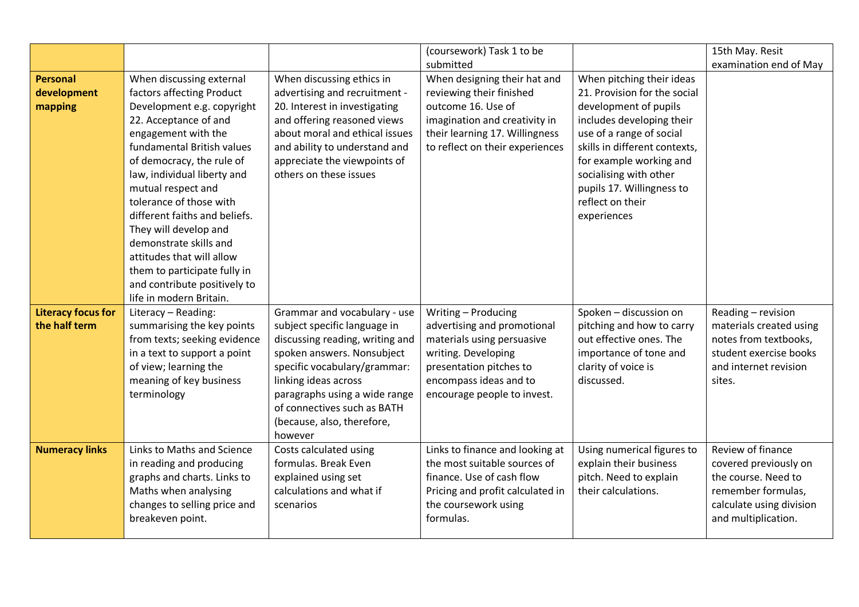|                           |                                               |                                                              | (coursework) Task 1 to be        |                                               | 15th May. Resit          |
|---------------------------|-----------------------------------------------|--------------------------------------------------------------|----------------------------------|-----------------------------------------------|--------------------------|
|                           |                                               |                                                              | submitted                        |                                               | examination end of May   |
| <b>Personal</b>           | When discussing external                      | When discussing ethics in                                    | When designing their hat and     | When pitching their ideas                     |                          |
| development               | factors affecting Product                     | advertising and recruitment -                                | reviewing their finished         | 21. Provision for the social                  |                          |
| mapping                   | Development e.g. copyright                    | 20. Interest in investigating                                | outcome 16. Use of               | development of pupils                         |                          |
|                           | 22. Acceptance of and                         | and offering reasoned views                                  | imagination and creativity in    | includes developing their                     |                          |
|                           | engagement with the                           | about moral and ethical issues                               | their learning 17. Willingness   | use of a range of social                      |                          |
|                           | fundamental British values                    | and ability to understand and                                | to reflect on their experiences  | skills in different contexts,                 |                          |
|                           | of democracy, the rule of                     | appreciate the viewpoints of                                 |                                  | for example working and                       |                          |
|                           | law, individual liberty and                   | others on these issues                                       |                                  | socialising with other                        |                          |
|                           | mutual respect and<br>tolerance of those with |                                                              |                                  | pupils 17. Willingness to<br>reflect on their |                          |
|                           | different faiths and beliefs.                 |                                                              |                                  | experiences                                   |                          |
|                           | They will develop and                         |                                                              |                                  |                                               |                          |
|                           | demonstrate skills and                        |                                                              |                                  |                                               |                          |
|                           | attitudes that will allow                     |                                                              |                                  |                                               |                          |
|                           | them to participate fully in                  |                                                              |                                  |                                               |                          |
|                           | and contribute positively to                  |                                                              |                                  |                                               |                          |
|                           | life in modern Britain.                       |                                                              |                                  |                                               |                          |
| <b>Literacy focus for</b> | Literacy - Reading:                           | Grammar and vocabulary - use                                 | Writing - Producing              | Spoken - discussion on                        | Reading - revision       |
| the half term             | summarising the key points                    | subject specific language in                                 | advertising and promotional      | pitching and how to carry                     | materials created using  |
|                           | from texts; seeking evidence                  | discussing reading, writing and                              | materials using persuasive       | out effective ones. The                       | notes from textbooks,    |
|                           | in a text to support a point                  | spoken answers. Nonsubject                                   | writing. Developing              | importance of tone and                        | student exercise books   |
|                           | of view; learning the                         | specific vocabulary/grammar:                                 | presentation pitches to          | clarity of voice is                           | and internet revision    |
|                           | meaning of key business                       | linking ideas across                                         | encompass ideas and to           | discussed.                                    | sites.                   |
|                           | terminology                                   | paragraphs using a wide range<br>of connectives such as BATH | encourage people to invest.      |                                               |                          |
|                           |                                               | (because, also, therefore,                                   |                                  |                                               |                          |
|                           |                                               | however                                                      |                                  |                                               |                          |
| <b>Numeracy links</b>     | Links to Maths and Science                    | Costs calculated using                                       | Links to finance and looking at  | Using numerical figures to                    | Review of finance        |
|                           | in reading and producing                      | formulas. Break Even                                         | the most suitable sources of     | explain their business                        | covered previously on    |
|                           | graphs and charts. Links to                   | explained using set                                          | finance. Use of cash flow        | pitch. Need to explain                        | the course. Need to      |
|                           | Maths when analysing                          | calculations and what if                                     | Pricing and profit calculated in | their calculations.                           | remember formulas,       |
|                           | changes to selling price and                  | scenarios                                                    | the coursework using             |                                               | calculate using division |
|                           | breakeven point.                              |                                                              | formulas.                        |                                               | and multiplication.      |
|                           |                                               |                                                              |                                  |                                               |                          |